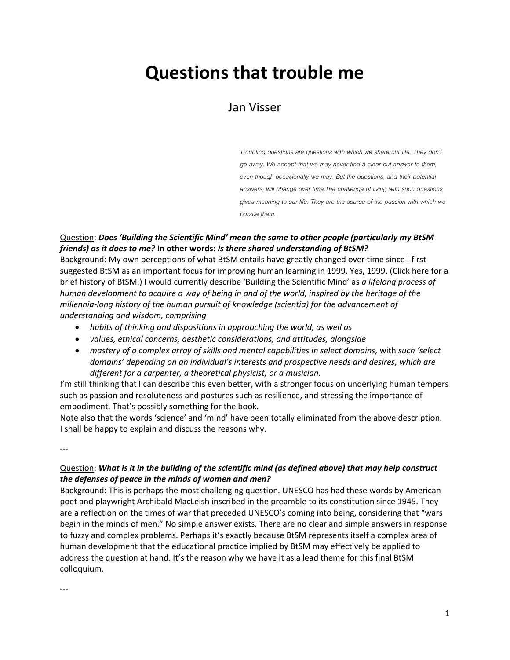# **Questions that trouble me**

# Jan Visser

*Troubling questions are questions with which we share our life. They don't go away. We accept that we may never find a clear-cut answer to them, even though occasionally we may. But the questions, and their potential answers, will change over time.The challenge of living with such questions gives meaning to our life. They are the source of the passion with which we pursue them.*

#### Question: *Does 'Building the Scientific Mind' mean the same to other people (particularly my BtSM friends) as it does to me?* **In other words:** *Is there shared understanding of BtSM?*

Background: My own perceptions of what BtSM entails have greatly changed over time since I first suggested BtSM as an important focus for improving human learning in 1999. Yes, 1999. (Clic[k here](https://www.researchgate.net/publication/277611251_BUILDING_THE_SCIENTIFIC_MIND_A_lifelong_human_development_challenge) for a brief history of BtSM.) I would currently describe 'Building the Scientific Mind' as *a lifelong process of human development to acquire a way of being in and of the world, inspired by the heritage of the millennia-long history of the human pursuit of knowledge (scientia) for the advancement of understanding and wisdom, comprising* 

- *habits of thinking and dispositions in approaching the world, as well as*
- *values, ethical concerns, aesthetic considerations, and attitudes, alongside*
- *mastery of a complex array of skills and mental capabilities in select domains,* with *such 'select domains' depending on an individual's interests and prospective needs and desires, which are different for a carpenter, a theoretical physicist, or a musician.*

I'm still thinking that I can describe this even better, with a stronger focus on underlying human tempers such as passion and resoluteness and postures such as resilience, and stressing the importance of embodiment. That's possibly something for the book.

Note also that the words 'science' and 'mind' have been totally eliminated from the above description. I shall be happy to explain and discuss the reasons why.

---

#### Question: *What is it in the building of the scientific mind (as defined above) that may help construct the defenses of peace in the minds of women and men?*

Background: This is perhaps the most challenging question. UNESCO has had these words by American poet and playwright Archibald MacLeish inscribed in the preamble to its constitution since 1945. They are a reflection on the times of war that preceded UNESCO's coming into being, considering that "wars begin in the minds of men." No simple answer exists. There are no clear and simple answers in response to fuzzy and complex problems. Perhaps it's exactly because BtSM represents itself a complex area of human development that the educational practice implied by BtSM may effectively be applied to address the question at hand. It's the reason why we have it as a lead theme for this final BtSM colloquium.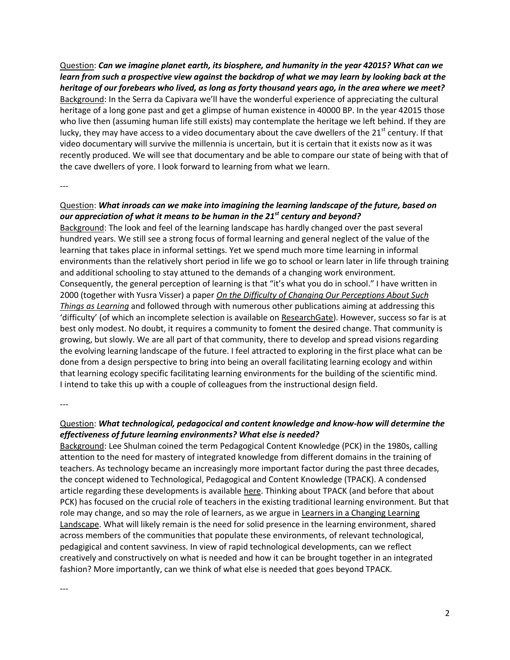Question: *Can we imagine planet earth, its biosphere, and humanity in the year 42015? What can we learn from such a prospective view against the backdrop of what we may learn by looking back at the heritage of our forebears who lived, as long as forty thousand years ago, in the area where we meet?* Background: In the Serra da Capivara we'll have the wonderful experience of appreciating the cultural heritage of a long gone past and get a glimpse of human existence in 40000 BP. In the year 42015 those who live then (assuming human life still exists) may contemplate the heritage we left behind. If they are lucky, they may have access to a video documentary about the cave dwellers of the  $21<sup>st</sup>$  century. If that video documentary will survive the millennia is uncertain, but it is certain that it exists now as it was recently produced. We will see that documentary and be able to compare our state of being with that of the cave dwellers of yore. I look forward to learning from what we learn.

---

#### Question: *What inroads can we make into imagining the learning landscape of the future, based on our appreciation of what it means to be human in the 21st century and beyond?*

Background: The look and feel of the learning landscape has hardly changed over the past several hundred years. We still see a strong focus of formal learning and general neglect of the value of the learning that takes place in informal settings. Yet we spend much more time learning in informal environments than the relatively short period in life we go to school or learn later in life through training and additional schooling to stay attuned to the demands of a changing work environment. Consequently, the general perception of learning is that "it's what you do in school." I have written in 2000 (together with Yusra Visser) a paper *[On the Difficulty of Changing Our Perceptions About Such](https://www.researchgate.net/publication/259811620_On_the_Difficulty_of_Changing_Our_Perceptions_About_Such_Things_as_Learning)  [Things as Learning](https://www.researchgate.net/publication/259811620_On_the_Difficulty_of_Changing_Our_Perceptions_About_Such_Things_as_Learning)* and followed through with numerous other publications aiming at addressing this 'difficulty' (of which an incomplete selection is available on [ResearchGate\)](https://www.researchgate.net/profile/Jan_Visser2/publications?sorting=newest). However, success so far is at best only modest. No doubt, it requires a community to foment the desired change. That community is growing, but slowly. We are all part of that community, there to develop and spread visions regarding the evolving learning landscape of the future. I feel attracted to exploring in the first place what can be done from a design perspective to bring into being an overall facilitating learning ecology and within that learning ecology specific facilitating learning environments for the building of the scientific mind. I intend to take this up with a couple of colleagues from the instructional design field.

---

## Question: *What technological, pedagocical and content knowledge and know-how will determine the effectiveness of future learning environments? What else is needed?*

Background: Lee Shulman coined the term Pedagogical Content Knowledge (PCK) in the 1980s, calling attention to the need for mastery of integrated knowledge from different domains in the training of teachers. As technology became an increasingly more important factor during the past three decades, the concept widened to Technological, Pedagogical and Content Knowledge (TPACK). A condensed article regarding these developments is availabl[e here.](http://www.citejournal.org/vol9/iss1/general/article1.cfm) Thinking about TPACK (and before that about PCK) has focused on the crucial role of teachers in the existing traditional learning environment. But that role may change, and so may the role of learners, as we argue in Learners in a Changing Learning [Landscape.](http://www.learndev.org/learnland2008.html) What will likely remain is the need for solid presence in the learning environment, shared across members of the communities that populate these environments, of relevant technological, pedagigical and content savviness. In view of rapid technological developments, can we reflect creatively and constructively on what is needed and how it can be brought together in an integrated fashion? More importantly, can we think of what else is needed that goes beyond TPACK.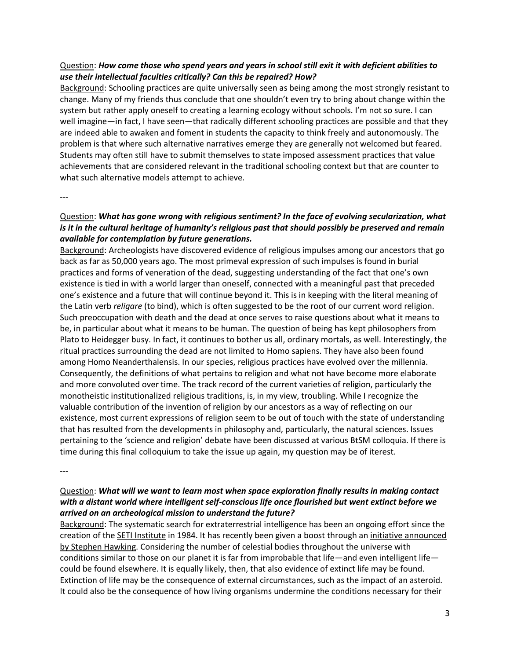#### Question: *How come those who spend years and years in school still exit it with deficient abilities to use their intellectual faculties critically? Can this be repaired? How?*

Background: Schooling practices are quite universally seen as being among the most strongly resistant to change. Many of my friends thus conclude that one shouldn't even try to bring about change within the system but rather apply oneself to creating a learning ecology without schools. I'm not so sure. I can well imagine—in fact, I have seen—that radically different schooling practices are possible and that they are indeed able to awaken and foment in students the capacity to think freely and autonomously. The problem is that where such alternative narratives emerge they are generally not welcomed but feared. Students may often still have to submit themselves to state imposed assessment practices that value achievements that are considered relevant in the traditional schooling context but that are counter to what such alternative models attempt to achieve.

---

#### Question: *What has gone wrong with religious sentiment? In the face of evolving secularization, what is it in the cultural heritage of humanity's religious past that should possibly be preserved and remain available for contemplation by future generations.*

Background: Archeologists have discovered evidence of religious impulses among our ancestors that go back as far as 50,000 years ago. The most primeval expression of such impulses is found in burial practices and forms of veneration of the dead, suggesting understanding of the fact that one's own existence is tied in with a world larger than oneself, connected with a meaningful past that preceded one's existence and a future that will continue beyond it. This is in keeping with the literal meaning of the Latin verb *religare* (to bind), which is often suggested to be the root of our current word religion. Such preoccupation with death and the dead at once serves to raise questions about what it means to be, in particular about what it means to be human. The question of being has kept philosophers from Plato to Heidegger busy. In fact, it continues to bother us all, ordinary mortals, as well. Interestingly, the ritual practices surrounding the dead are not limited to Homo sapiens. They have also been found among Homo Neanderthalensis. In our species, religious practices have evolved over the millennia. Consequently, the definitions of what pertains to religion and what not have become more elaborate and more convoluted over time. The track record of the current varieties of religion, particularly the monotheistic institutionalized religious traditions, is, in my view, troubling. While I recognize the valuable contribution of the invention of religion by our ancestors as a way of reflecting on our existence, most current expressions of religion seem to be out of touch with the state of understanding that has resulted from the developments in philosophy and, particularly, the natural sciences. Issues pertaining to the 'science and religion' debate have been discussed at various BtSM colloquia. If there is time during this final colloquium to take the issue up again, my question may be of iterest.

---

### Question: *What will we want to learn most when space exploration finally results in making contact with a distant world where intelligent self-conscious life once flourished but went extinct before we arrived on an archeological mission to understand the future?*

Background: The systematic search for extraterrestrial intelligence has been an ongoing effort since the creation of th[e SETI Institute](http://www.seti.org/) in 1984. It has recently been given a boost through a[n initiative announced](http://www.theguardian.com/science/2015/jul/20/breakthrough-listen-massive-radio-wave-project-scan-far-regions-for-alien-life)  [by Stephen Hawking.](http://www.theguardian.com/science/2015/jul/20/breakthrough-listen-massive-radio-wave-project-scan-far-regions-for-alien-life) Considering the number of celestial bodies throughout the universe with conditions similar to those on our planet it is far from improbable that life—and even intelligent life could be found elsewhere. It is equally likely, then, that also evidence of extinct life may be found. Extinction of life may be the consequence of external circumstances, such as the impact of an asteroid. It could also be the consequence of how living organisms undermine the conditions necessary for their